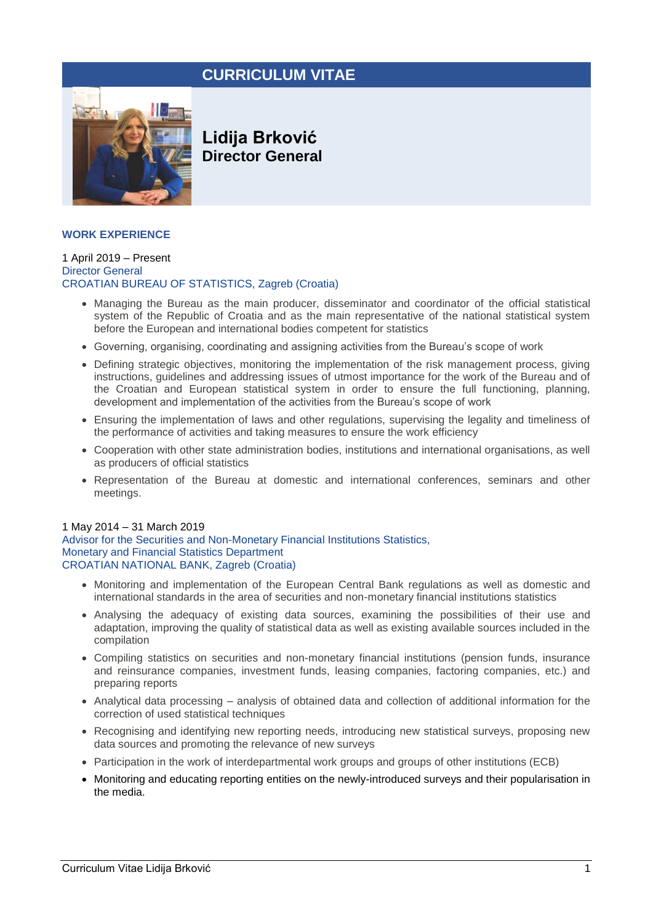# **CURRICULUM VITAE**



**Lidija Brković Director General**

# **WORK EXPERIENCE**

#### 1 April 2019 – Present Director General CROATIAN BUREAU OF STATISTICS, Zagreb (Croatia)

- Managing the Bureau as the main producer, disseminator and coordinator of the official statistical system of the Republic of Croatia and as the main representative of the national statistical system before the European and international bodies competent for statistics
- Governing, organising, coordinating and assigning activities from the Bureau's scope of work
- Defining strategic objectives, monitoring the implementation of the risk management process, giving instructions, guidelines and addressing issues of utmost importance for the work of the Bureau and of the Croatian and European statistical system in order to ensure the full functioning, planning, development and implementation of the activities from the Bureau's scope of work
- Ensuring the implementation of laws and other regulations, supervising the legality and timeliness of the performance of activities and taking measures to ensure the work efficiency
- Cooperation with other state administration bodies, institutions and international organisations, as well as producers of official statistics
- Representation of the Bureau at domestic and international conferences, seminars and other meetings.

#### 1 May 2014 – 31 March 2019

Advisor for the Securities and Non-Monetary Financial Institutions Statistics, Monetary and Financial Statistics Department CROATIAN NATIONAL BANK, Zagreb (Croatia)

- Monitoring and implementation of the European Central Bank regulations as well as domestic and international standards in the area of securities and non-monetary financial institutions statistics
- Analysing the adequacy of existing data sources, examining the possibilities of their use and adaptation, improving the quality of statistical data as well as existing available sources included in the compilation
- Compiling statistics on securities and non-monetary financial institutions (pension funds, insurance and reinsurance companies, investment funds, leasing companies, factoring companies, etc.) and preparing reports
- Analytical data processing analysis of obtained data and collection of additional information for the correction of used statistical techniques
- Recognising and identifying new reporting needs, introducing new statistical surveys, proposing new data sources and promoting the relevance of new surveys
- Participation in the work of interdepartmental work groups and groups of other institutions (ECB)
- Monitoring and educating reporting entities on the newly-introduced surveys and their popularisation in the media.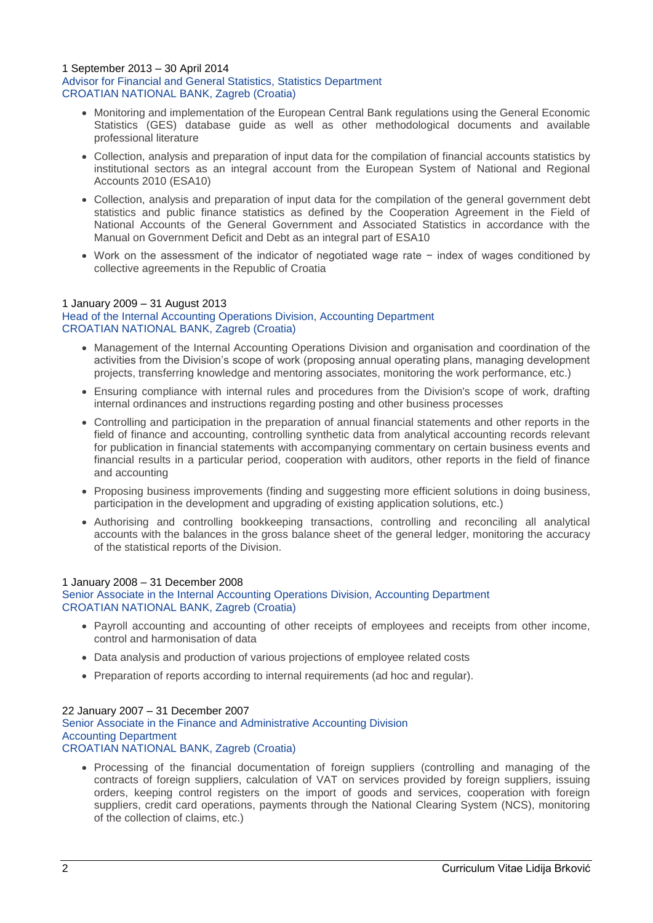#### 1 September 2013 – 30 April 2014 Advisor for Financial and General Statistics, Statistics Department CROATIAN NATIONAL BANK, Zagreb (Croatia)

- Monitoring and implementation of the European Central Bank regulations using the General Economic Statistics (GES) database guide as well as other methodological documents and available professional literature
- Collection, analysis and preparation of input data for the compilation of financial accounts statistics by institutional sectors as an integral account from the European System of National and Regional Accounts 2010 (ESA10)
- Collection, analysis and preparation of input data for the compilation of the general government debt statistics and public finance statistics as defined by the Cooperation Agreement in the Field of National Accounts of the General Government and Associated Statistics in accordance with the Manual on Government Deficit and Debt as an integral part of ESA10
- Work on the assessment of the indicator of negotiated wage rate − index of wages conditioned by collective agreements in the Republic of Croatia

# 1 January 2009 – 31 August 2013 Head of the Internal Accounting Operations Division, Accounting Department CROATIAN NATIONAL BANK, Zagreb (Croatia)

- Management of the Internal Accounting Operations Division and organisation and coordination of the activities from the Division's scope of work (proposing annual operating plans, managing development projects, transferring knowledge and mentoring associates, monitoring the work performance, etc.)
- Ensuring compliance with internal rules and procedures from the Division's scope of work, drafting internal ordinances and instructions regarding posting and other business processes
- Controlling and participation in the preparation of annual financial statements and other reports in the field of finance and accounting, controlling synthetic data from analytical accounting records relevant for publication in financial statements with accompanying commentary on certain business events and financial results in a particular period, cooperation with auditors, other reports in the field of finance and accounting
- Proposing business improvements (finding and suggesting more efficient solutions in doing business, participation in the development and upgrading of existing application solutions, etc.)
- Authorising and controlling bookkeeping transactions, controlling and reconciling all analytical accounts with the balances in the gross balance sheet of the general ledger, monitoring the accuracy of the statistical reports of the Division.

# 1 January 2008 – 31 December 2008

Senior Associate in the Internal Accounting Operations Division, Accounting Department CROATIAN NATIONAL BANK, Zagreb (Croatia)

- Payroll accounting and accounting of other receipts of employees and receipts from other income, control and harmonisation of data
- Data analysis and production of various projections of employee related costs
- Preparation of reports according to internal requirements (ad hoc and regular).

# 22 January 2007 – 31 December 2007

Senior Associate in the Finance and Administrative Accounting Division Accounting Department CROATIAN NATIONAL BANK, Zagreb (Croatia)

• Processing of the financial documentation of foreign suppliers (controlling and managing of the contracts of foreign suppliers, calculation of VAT on services provided by foreign suppliers, issuing orders, keeping control registers on the import of goods and services, cooperation with foreign suppliers, credit card operations, payments through the National Clearing System (NCS), monitoring of the collection of claims, etc.)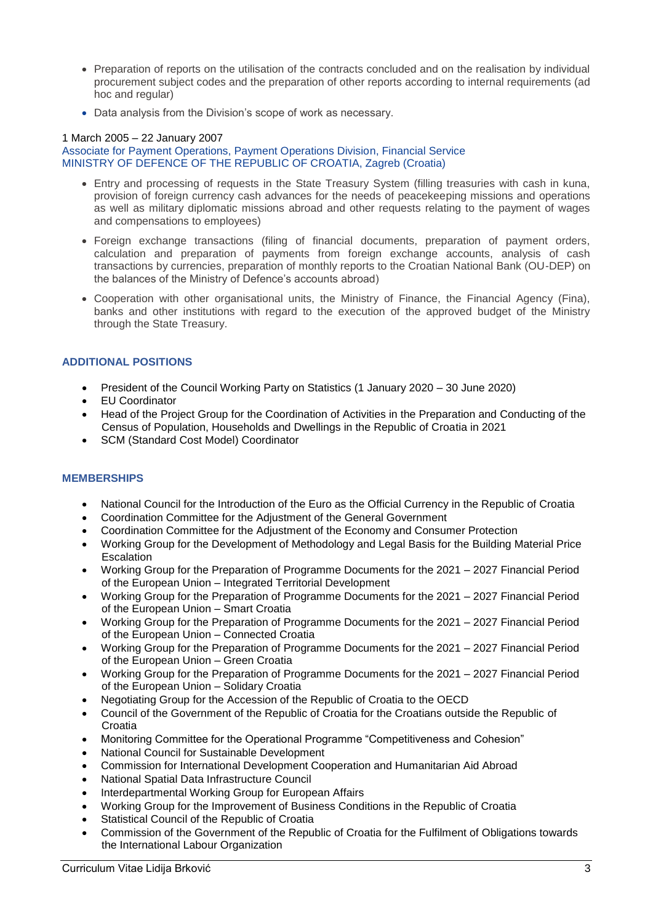- Preparation of reports on the utilisation of the contracts concluded and on the realisation by individual procurement subject codes and the preparation of other reports according to internal requirements (ad hoc and regular)
- Data analysis from the Division's scope of work as necessary.

# 1 March 2005 – 22 January 2007

Associate for Payment Operations, Payment Operations Division, Financial Service MINISTRY OF DEFENCE OF THE REPUBLIC OF CROATIA, Zagreb (Croatia)

- Entry and processing of requests in the State Treasury System (filling treasuries with cash in kuna, provision of foreign currency cash advances for the needs of peacekeeping missions and operations as well as military diplomatic missions abroad and other requests relating to the payment of wages and compensations to employees)
- Foreign exchange transactions (filing of financial documents, preparation of payment orders, calculation and preparation of payments from foreign exchange accounts, analysis of cash transactions by currencies, preparation of monthly reports to the Croatian National Bank (OU-DEP) on the balances of the Ministry of Defence's accounts abroad)
- Cooperation with other organisational units, the Ministry of Finance, the Financial Agency (Fina), banks and other institutions with regard to the execution of the approved budget of the Ministry through the State Treasury.

# **ADDITIONAL POSITIONS**

- President of the Council Working Party on Statistics (1 January 2020 30 June 2020)
- EU Coordinator
- Head of the Project Group for the Coordination of Activities in the Preparation and Conducting of the Census of Population, Households and Dwellings in the Republic of Croatia in 2021
- SCM (Standard Cost Model) Coordinator

# **MEMBERSHIPS**

- National Council for the Introduction of the Euro as the Official Currency in the Republic of Croatia
- Coordination Committee for the Adjustment of the General Government
- Coordination Committee for the Adjustment of the Economy and Consumer Protection
- Working Group for the Development of Methodology and Legal Basis for the Building Material Price Escalation
- Working Group for the Preparation of Programme Documents for the 2021 2027 Financial Period of the European Union – Integrated Territorial Development
- Working Group for the Preparation of Programme Documents for the 2021 2027 Financial Period of the European Union – Smart Croatia
- Working Group for the Preparation of Programme Documents for the 2021 2027 Financial Period of the European Union – Connected Croatia
- Working Group for the Preparation of Programme Documents for the 2021 2027 Financial Period of the European Union – Green Croatia
- Working Group for the Preparation of Programme Documents for the 2021 2027 Financial Period of the European Union – Solidary Croatia
- Negotiating Group for the Accession of the Republic of Croatia to the OECD
- Council of the Government of the Republic of Croatia for the Croatians outside the Republic of Croatia
- Monitoring Committee for the Operational Programme "Competitiveness and Cohesion"
- National Council for Sustainable Development
- Commission for International Development Cooperation and Humanitarian Aid Abroad
- National Spatial Data Infrastructure Council
- Interdepartmental Working Group for European Affairs
- Working Group for the Improvement of Business Conditions in the Republic of Croatia
- Statistical Council of the Republic of Croatia
- Commission of the Government of the Republic of Croatia for the Fulfilment of Obligations towards the International Labour Organization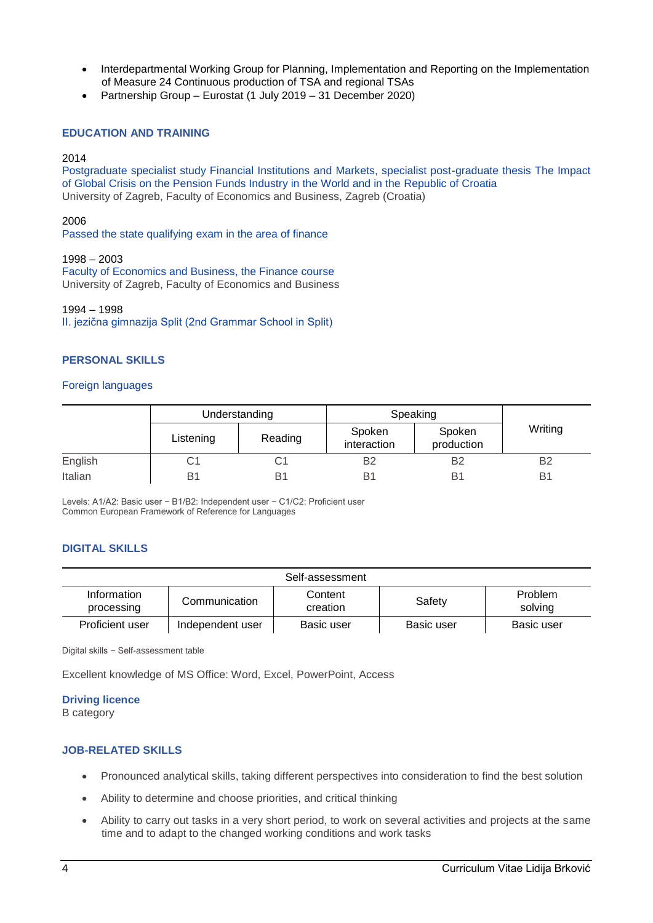- Interdepartmental Working Group for Planning, Implementation and Reporting on the Implementation of Measure 24 Continuous production of TSA and regional TSAs
- Partnership Group Eurostat (1 July 2019 31 December 2020)

### **EDUCATION AND TRAINING**

#### 2014

Postgraduate specialist study Financial Institutions and Markets, specialist post-graduate thesis The Impact of Global Crisis on the Pension Funds Industry in the World and in the Republic of Croatia University of Zagreb, Faculty of Economics and Business, Zagreb (Croatia)

#### 2006

Passed the state qualifying exam in the area of finance

1998 – 2003 Faculty of Economics and Business, the Finance course University of Zagreb, Faculty of Economics and Business

#### 1994 – 1998

II. jezična gimnazija Split (2nd Grammar School in Split)

#### **PERSONAL SKILLS**

#### Foreign languages

|         | Understanding |         | Speaking              |                      |                |
|---------|---------------|---------|-----------------------|----------------------|----------------|
|         | Listening     | Reading | Spoken<br>interaction | Spoken<br>production | Writing        |
| English | С1            |         | B2                    | B <sub>2</sub>       | <b>B2</b>      |
| Italian | B1            | Bʻ      | B <sup>1</sup>        | B                    | B <sub>1</sub> |

Levels: A1/A2: Basic user − B1/B2: Independent user − C1/C2: Proficient user Common European Framework of Reference for Languages

#### **DIGITAL SKILLS**

| Self-assessment           |                  |                     |            |                           |  |  |  |
|---------------------------|------------------|---------------------|------------|---------------------------|--|--|--|
| Information<br>processing | Communication    | Content<br>creation | Safety     | <b>Problem</b><br>solving |  |  |  |
| Proficient user           | Independent user | Basic user          | Basic user | Basic user                |  |  |  |

Digital skills − Self-assessment table

Excellent knowledge of MS Office: Word, Excel, PowerPoint, Access

#### **Driving licence**

B category

#### **JOB-RELATED SKILLS**

- Pronounced analytical skills, taking different perspectives into consideration to find the best solution
- Ability to determine and choose priorities, and critical thinking
- Ability to carry out tasks in a very short period, to work on several activities and projects at the same time and to adapt to the changed working conditions and work tasks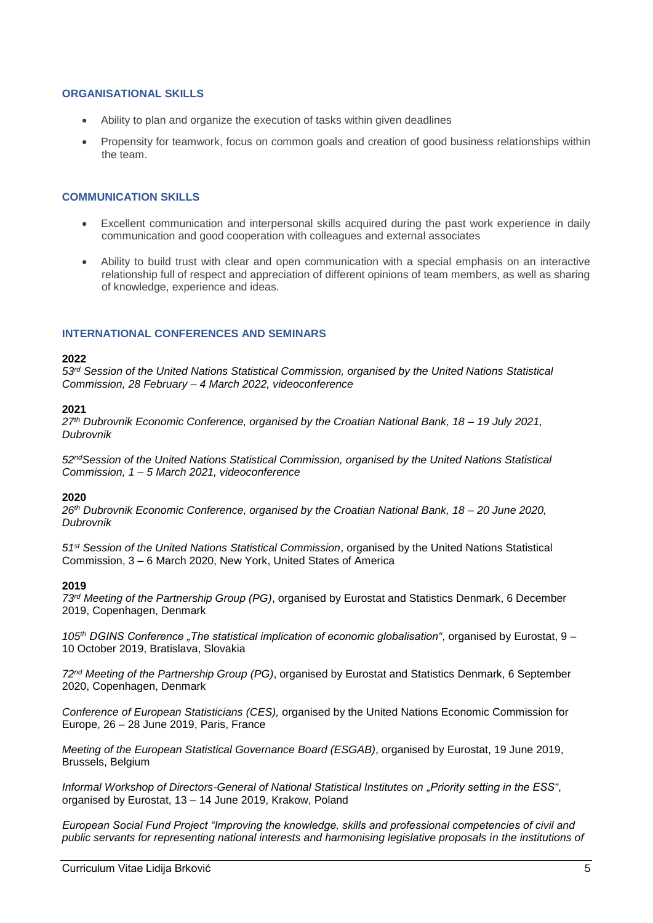# **ORGANISATIONAL SKILLS**

- Ability to plan and organize the execution of tasks within given deadlines
- Propensity for teamwork, focus on common goals and creation of good business relationships within the team.

# **COMMUNICATION SKILLS**

- Excellent communication and interpersonal skills acquired during the past work experience in daily communication and good cooperation with colleagues and external associates
- Ability to build trust with clear and open communication with a special emphasis on an interactive relationship full of respect and appreciation of different opinions of team members, as well as sharing of knowledge, experience and ideas.

#### **INTERNATIONAL CONFERENCES AND SEMINARS**

#### **2022**

*53rd Session of the United Nations Statistical Commission, organised by the United Nations Statistical Commission, 28 February – 4 March 2022, videoconference*

#### **2021**

*27th Dubrovnik Economic Conference, organised by the Croatian National Bank, 18 – 19 July 2021, Dubrovnik*

*52ndSession of the United Nations Statistical Commission, organised by the United Nations Statistical Commission, 1 – 5 March 2021, videoconference*

#### **2020**

*26th Dubrovnik Economic Conference, organised by the Croatian National Bank, 18 – 20 June 2020, Dubrovnik*

*51st Session of the United Nations Statistical Commission*, organised by the United Nations Statistical Commission, 3 – 6 March 2020, New York, United States of America

#### **2019**

*73rd Meeting of the Partnership Group (PG)*, organised by Eurostat and Statistics Denmark, 6 December 2019, Copenhagen, Denmark

*105th DGINS Conference "The statistical implication of economic globalisation"*, organised by Eurostat, 9 – 10 October 2019, Bratislava, Slovakia

*72nd Meeting of the Partnership Group (PG)*, organised by Eurostat and Statistics Denmark, 6 September 2020, Copenhagen, Denmark

*Conference of European Statisticians (CES),* organised by the United Nations Economic Commission for Europe, 26 – 28 June 2019, Paris, France

*Meeting of the European Statistical Governance Board (ESGAB)*, organised by Eurostat, 19 June 2019, Brussels, Belgium

*Informal Workshop of Directors-General of National Statistical Institutes on "Priority setting in the ESS"*, organised by Eurostat, 13 – 14 June 2019, Krakow, Poland

*European Social Fund Project "Improving the knowledge, skills and professional competencies of civil and public servants for representing national interests and harmonising legislative proposals in the institutions of*